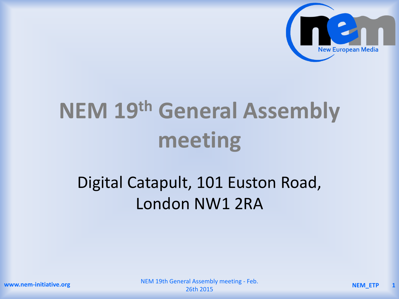

# **NEM 19th General Assembly meeting**

## Digital Catapult, 101 Euston Road, London NW1 2RA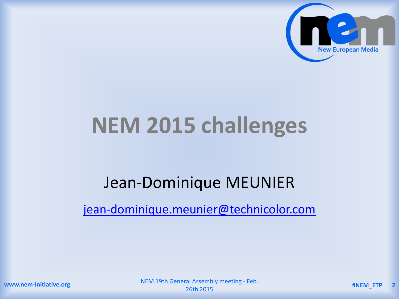

## **NEM 2015 challenges**

## Jean-Dominique MEUNIER

[jean-dominique.meunier@technicolor.com](mailto:jean-dominique.meunier@technicolor.com)

**www.nem-initiative.org**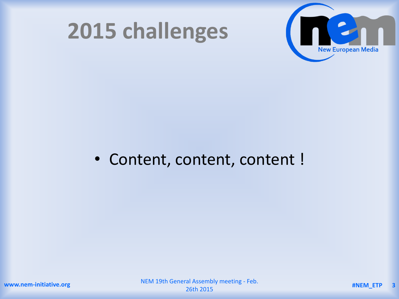



#### • Content, content, content !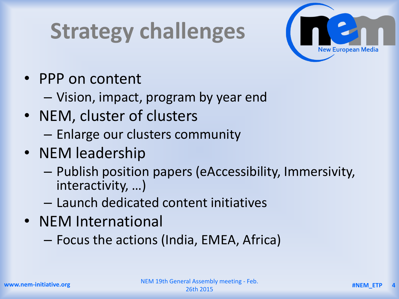## **Strategy challenges**



- PPP on content
	- Vision, impact, program by year end
- NEM, cluster of clusters
	- Enlarge our clusters community
- NEM leadership
	- Publish position papers (eAccessibility, Immersivity, interactivity, …)
	- Launch dedicated content initiatives
- NEM International
	- Focus the actions (India, EMEA, Africa)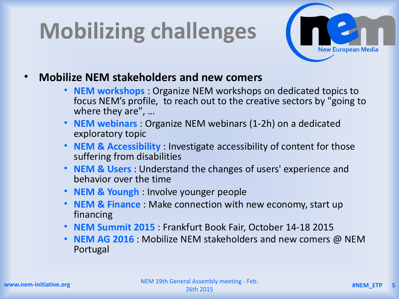# **Mobilizing challenges**



- **Mobilize NEM stakeholders and new comers**
	- **NEM workshops** : Organize NEM workshops on dedicated topics to focus NEM's profile, to reach out to the creative sectors by "going to where they are", …
	- **NEM webinars** : Organize NEM webinars (1-2h) on a dedicated exploratory topic
	- **NEM & Accessibility** : Investigate accessibility of content for those suffering from disabilities
	- **NEM & Users** : Understand the changes of users' experience and behavior over the time
	- **NEM & Youngh** : Involve younger people
	- **NEM & Finance** : Make connection with new economy, start up financing
	- **NEM Summit 2015** : Frankfurt Book Fair, October 14-18 2015
	- **NEM AG 2016** : Mobilize NEM stakeholders and new comers @ NEM Portugal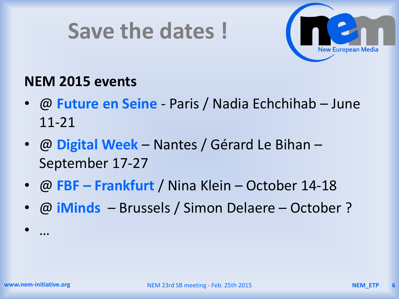## **Save the dates !**



#### **NEM 2015 events**

- @ **Future en Seine**  Paris / Nadia Echchihab June 11-21
- @ **Digital Week**  Nantes / Gérard Le Bihan September 17-27
- @ **FBF – Frankfurt** / Nina Klein October 14-18
- @ **iMinds** Brussels / Simon Delaere October ?

• …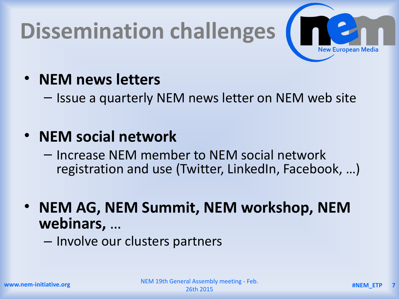# **Dissemination challenges**



### • **NEM news letters**

– Issue a quarterly NEM news letter on NEM web site

### • **NEM social network**

– Increase NEM member to NEM social network registration and use (Twitter, LinkedIn, Facebook, …)

• **NEM AG, NEM Summit, NEM workshop, NEM webinars,** …

– Involve our clusters partners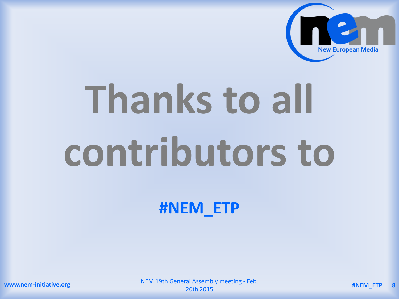

# **Thanks to all contributors to**

**#NEM\_ETP**

**www.nem-initiative.org**

NEM 19th General Assembly meeting - Feb. 26th 2015 **#NEM\_ETP <sup>8</sup>**